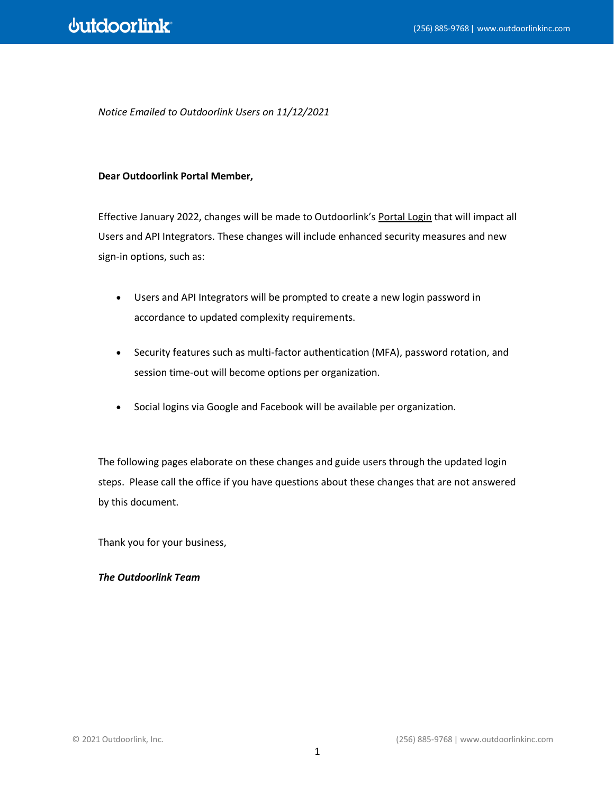*Notice Emailed to Outdoorlink Users on 11/12/2021*

## **Dear Outdoorlink Portal Member,**

Effective January 2022, changes will be made to Outdoorlink's [Portal Login](https://portal.outdoorlinkinc.com/login) that will impact all Users and API Integrators. These changes will include enhanced security measures and new sign-in options, such as:

- Users and API Integrators will be prompted to create a new login password in accordance to updated complexity requirements.
- Security features such as multi-factor authentication (MFA), password rotation, and session time-out will become options per organization.
- Social logins via Google and Facebook will be available per organization.

The following pages elaborate on these changes and guide users through the updated login steps. Please call the office if you have questions about these changes that are not answered by this document.

Thank you for your business,

## *The Outdoorlink Team*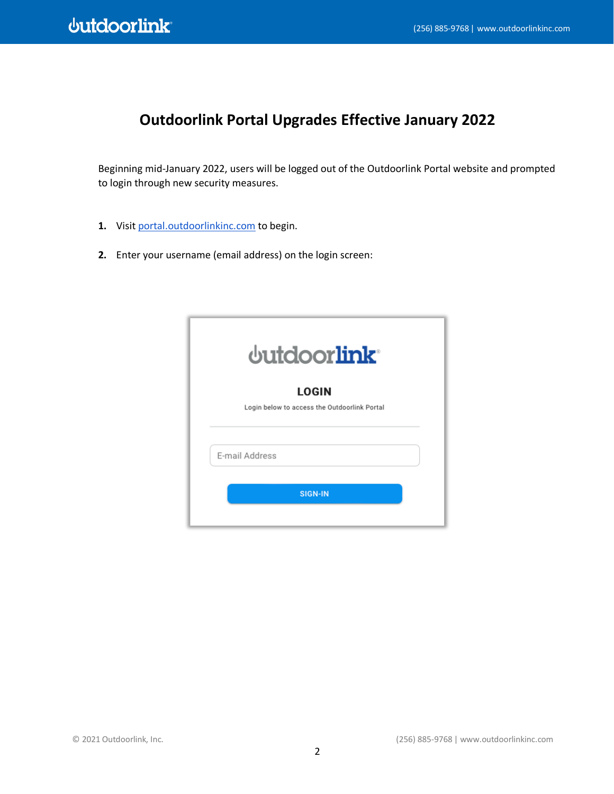## **Outdoorlink Portal Upgrades Effective January 2022**

Beginning mid-January 2022, users will be logged out of the Outdoorlink Portal website and prompted to login through new security measures.

- 1. Visit [portal.outdoorlinkinc.com](https://portal.outdoorlinkinc.com/) to begin.
- **2.** Enter your username (email address) on the login screen:

| dutdoorlink <sup>®</sup>                                     |  |
|--------------------------------------------------------------|--|
| <b>LOGIN</b><br>Login below to access the Outdoorlink Portal |  |
| E-mail Address                                               |  |
| <b>SIGN-IN</b>                                               |  |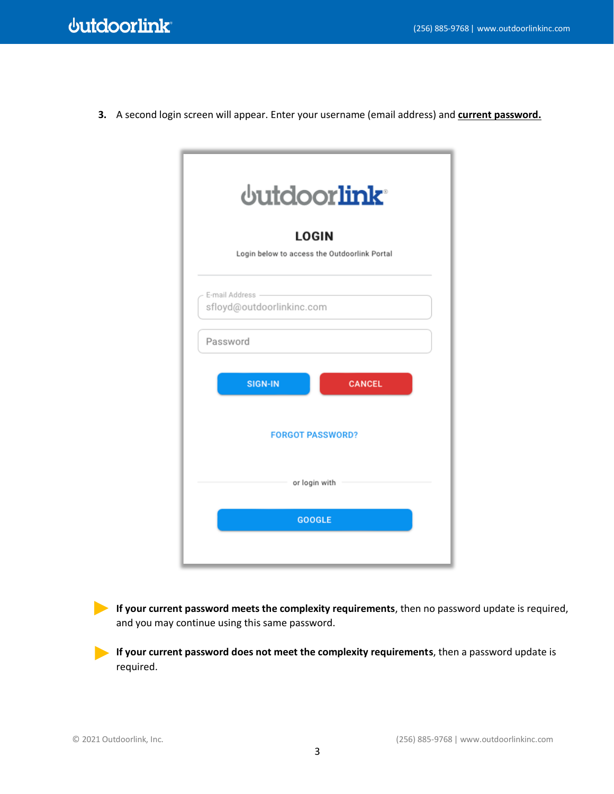**3.** A second login screen will appear. Enter your username (email address) and **current password.**

| dutdoorlink <sup>®</sup>                                     |
|--------------------------------------------------------------|
| <b>LOGIN</b><br>Login below to access the Outdoorlink Portal |
|                                                              |
| E-mail Address -<br>sfloyd@outdoorlinkinc.com                |
| Password                                                     |
| <b>SIGN-IN</b><br><b>CANCEL</b>                              |
| <b>FORGOT PASSWORD?</b>                                      |
| or login with                                                |
| <b>GOOGLE</b>                                                |
|                                                              |

**If your current password meets the complexity requirements**, then no password update is required, and you may continue using this same password.

**If your current password does not meet the complexity requirements**, then a password update is required.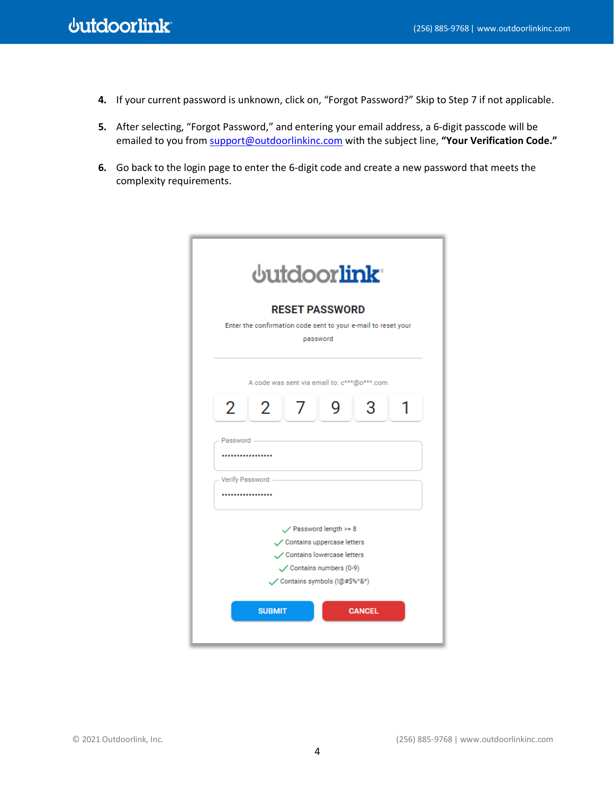- **4.** If your current password is unknown, click on, "Forgot Password?" Skip to Step 7 if not applicable.
- **5.** After selecting, "Forgot Password," and entering your email address, a 6-digit passcode will be emailed to you from [support@outdoorlinkinc.com](mailto:support@outdoorlinkinc.com) with the subject line, **"Your Verification Code."**
- **6.** Go back to the login page to enter the 6-digit code and create a new password that meets the complexity requirements.

|            | <b>dutdoorlink</b>                                                                                                                                                 |
|------------|--------------------------------------------------------------------------------------------------------------------------------------------------------------------|
|            | <b>RESET PASSWORD</b><br>Enter the confirmation code sent to your e-mail to reset your<br>password                                                                 |
|            | A code was sent via email to: c***@o***.com                                                                                                                        |
| 2          | $\overline{2}$<br>3<br>q<br>7                                                                                                                                      |
| Password - |                                                                                                                                                                    |
|            | Verify Password -<br>                                                                                                                                              |
|            | $\swarrow$ Password length >= 8<br>Contains uppercase letters<br>Contains lowercase letters<br>$\checkmark$ Contains numbers (0-9)<br>Contains symbols (!@#\$%^&*) |
|            | <b>SUBMIT</b><br><b>CANCEL</b>                                                                                                                                     |